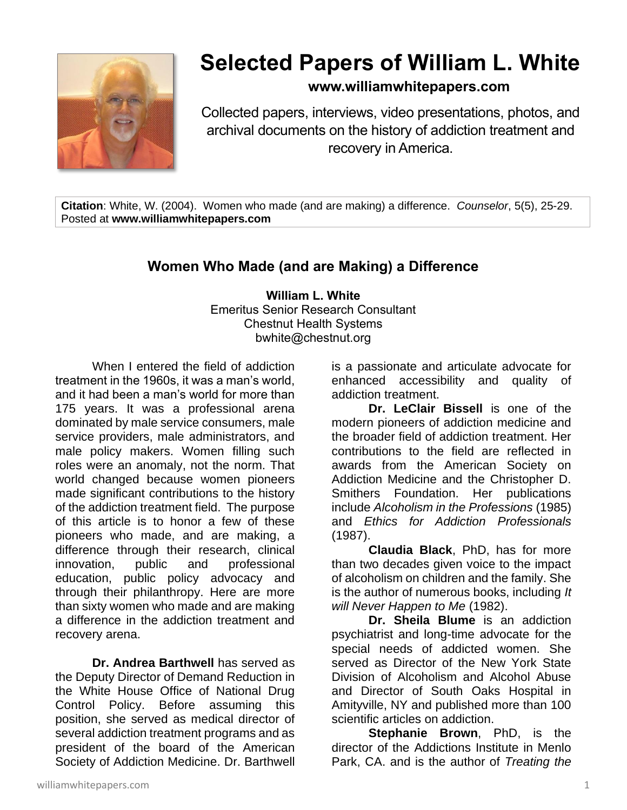

## **Selected Papers of William L. White**

## **www.williamwhitepapers.com**

Collected papers, interviews, video presentations, photos, and archival documents on the history of addiction treatment and recovery in America.

**Citation**: White, W. (2004). Women who made (and are making) a difference. *Counselor*, 5(5), 25-29. Posted at **www.williamwhitepapers.com**

## **Women Who Made (and are Making) a Difference**

**William L. White** Emeritus Senior Research Consultant Chestnut Health Systems bwhite@chestnut.org

When I entered the field of addiction treatment in the 1960s, it was a man's world, and it had been a man's world for more than 175 years. It was a professional arena dominated by male service consumers, male service providers, male administrators, and male policy makers. Women filling such roles were an anomaly, not the norm. That world changed because women pioneers made significant contributions to the history of the addiction treatment field. The purpose of this article is to honor a few of these pioneers who made, and are making, a difference through their research, clinical innovation, public and professional education, public policy advocacy and through their philanthropy. Here are more than sixty women who made and are making a difference in the addiction treatment and recovery arena.

**Dr. Andrea Barthwell** has served as the Deputy Director of Demand Reduction in the White House Office of National Drug Control Policy. Before assuming this position, she served as medical director of several addiction treatment programs and as president of the board of the American Society of Addiction Medicine. Dr. Barthwell is a passionate and articulate advocate for enhanced accessibility and quality of addiction treatment.

**Dr. LeClair Bissell** is one of the modern pioneers of addiction medicine and the broader field of addiction treatment. Her contributions to the field are reflected in awards from the American Society on Addiction Medicine and the Christopher D. Smithers Foundation. Her publications include *Alcoholism in the Professions* (1985) and *Ethics for Addiction Professionals* (1987).

**Claudia Black**, PhD, has for more than two decades given voice to the impact of alcoholism on children and the family. She is the author of numerous books, including *It will Never Happen to Me* (1982).

**Dr. Sheila Blume** is an addiction psychiatrist and long-time advocate for the special needs of addicted women. She served as Director of the New York State Division of Alcoholism and Alcohol Abuse and Director of South Oaks Hospital in Amityville, NY and published more than 100 scientific articles on addiction.

**Stephanie Brown**, PhD, is the director of the Addictions Institute in Menlo Park, CA. and is the author of *Treating the*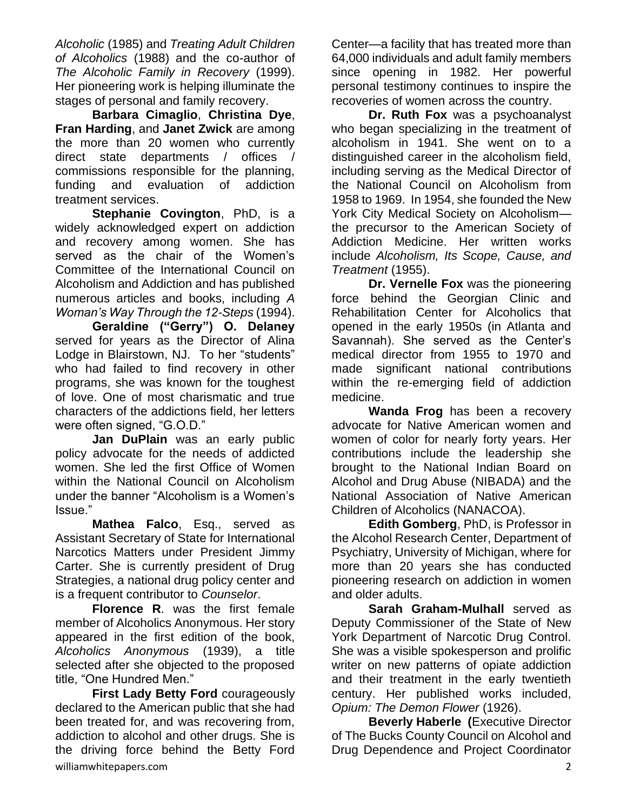*Alcoholic* (1985) and *Treating Adult Children of Alcoholics* (1988) and the co-author of *The Alcoholic Family in Recovery* (1999). Her pioneering work is helping illuminate the stages of personal and family recovery.

**Barbara Cimaglio**, **Christina Dye**, **Fran Harding**, and **Janet Zwick** are among the more than 20 women who currently direct state departments / offices / commissions responsible for the planning, funding and evaluation of addiction treatment services.

**Stephanie Covington**, PhD, is a widely acknowledged expert on addiction and recovery among women. She has served as the chair of the Women's Committee of the International Council on Alcoholism and Addiction and has published numerous articles and books, including *A Woman's Way Through the 12-Steps* (1994).

**Geraldine ("Gerry") O. Delaney** served for years as the Director of Alina Lodge in Blairstown, NJ. To her "students" who had failed to find recovery in other programs, she was known for the toughest of love. One of most charismatic and true characters of the addictions field, her letters were often signed, "G.O.D."

**Jan DuPlain** was an early public policy advocate for the needs of addicted women. She led the first Office of Women within the National Council on Alcoholism under the banner "Alcoholism is a Women's Issue."

**Mathea Falco**, Esq., served as Assistant Secretary of State for International Narcotics Matters under President Jimmy Carter. She is currently president of Drug Strategies, a national drug policy center and is a frequent contributor to *Counselor*.

**Florence R**. was the first female member of Alcoholics Anonymous. Her story appeared in the first edition of the book, *Alcoholics Anonymous* (1939), a title selected after she objected to the proposed title, "One Hundred Men."

williamwhitepapers.com 2016 **2020 20:00 20:00 20:00 20:00 20:00 20:00 20:00 20:00 20:00 20:00 20:00 20:00 20:00 20:00 20:00 20:00 20:00 20:00 20:00 20:00 20:00 20:00 20:00 20:00 20:00 20:00 20:00 20:00 20:00 20:00 20:00 20 First Lady Betty Ford** courageously declared to the American public that she had been treated for, and was recovering from, addiction to alcohol and other drugs. She is the driving force behind the Betty Ford

Center—a facility that has treated more than 64,000 individuals and adult family members since opening in 1982. Her powerful personal testimony continues to inspire the recoveries of women across the country.

**Dr. Ruth Fox** was a psychoanalyst who began specializing in the treatment of alcoholism in 1941. She went on to a distinguished career in the alcoholism field, including serving as the Medical Director of the National Council on Alcoholism from 1958 to 1969. In 1954, she founded the New York City Medical Society on Alcoholism the precursor to the American Society of Addiction Medicine. Her written works include *Alcoholism, Its Scope, Cause, and Treatment* (1955).

**Dr. Vernelle Fox** was the pioneering force behind the Georgian Clinic and Rehabilitation Center for Alcoholics that opened in the early 1950s (in Atlanta and Savannah). She served as the Center's medical director from 1955 to 1970 and made significant national contributions within the re-emerging field of addiction medicine.

**Wanda Frog** has been a recovery advocate for Native American women and women of color for nearly forty years. Her contributions include the leadership she brought to the National Indian Board on Alcohol and Drug Abuse (NIBADA) and the National Association of Native American Children of Alcoholics (NANACOA).

**Edith Gomberg**, PhD, is Professor in the Alcohol Research Center, Department of Psychiatry, University of Michigan, where for more than 20 years she has conducted pioneering research on addiction in women and older adults.

**Sarah Graham-Mulhall** served as Deputy Commissioner of the State of New York Department of Narcotic Drug Control. She was a visible spokesperson and prolific writer on new patterns of opiate addiction and their treatment in the early twentieth century. Her published works included, *Opium: The Demon Flower* (1926).

**Beverly Haberle (**Executive Director of The Bucks County Council on Alcohol and Drug Dependence and Project Coordinator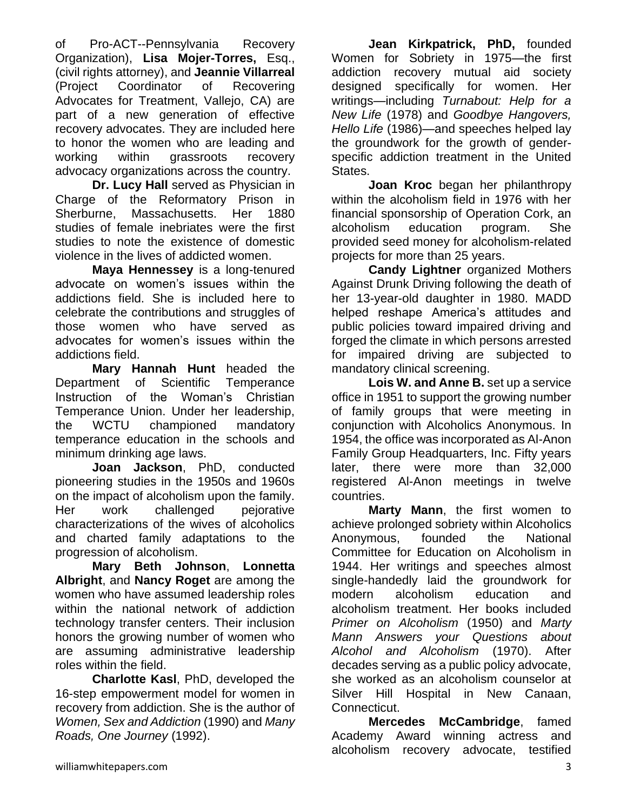of Pro-ACT--Pennsylvania Recovery Organization), **Lisa Mojer-Torres,** Esq., (civil rights attorney), and **Jeannie Villarreal** (Project Coordinator of Recovering Advocates for Treatment, Vallejo, CA) are part of a new generation of effective recovery advocates. They are included here to honor the women who are leading and working within grassroots recovery advocacy organizations across the country.

**Dr. Lucy Hall** served as Physician in Charge of the Reformatory Prison in Sherburne, Massachusetts. Her 1880 studies of female inebriates were the first studies to note the existence of domestic violence in the lives of addicted women.

**Maya Hennessey** is a long-tenured advocate on women's issues within the addictions field. She is included here to celebrate the contributions and struggles of those women who have served as advocates for women's issues within the addictions field.

**Mary Hannah Hunt** headed the Department of Scientific Temperance Instruction of the Woman's Christian Temperance Union. Under her leadership, the WCTU championed mandatory temperance education in the schools and minimum drinking age laws.

**Joan Jackson**, PhD, conducted pioneering studies in the 1950s and 1960s on the impact of alcoholism upon the family. Her work challenged pejorative characterizations of the wives of alcoholics and charted family adaptations to the progression of alcoholism.

**Mary Beth Johnson**, **Lonnetta Albright**, and **Nancy Roget** are among the women who have assumed leadership roles within the national network of addiction technology transfer centers. Their inclusion honors the growing number of women who are assuming administrative leadership roles within the field.

**Charlotte Kasl**, PhD, developed the 16-step empowerment model for women in recovery from addiction. She is the author of *Women, Sex and Addiction* (1990) and *Many Roads, One Journey* (1992).

**Jean Kirkpatrick, PhD,** founded Women for Sobriety in 1975—the first addiction recovery mutual aid society designed specifically for women. Her writings—including *Turnabout: Help for a New Life* (1978) and *Goodbye Hangovers, Hello Life* (1986)—and speeches helped lay the groundwork for the growth of genderspecific addiction treatment in the United States.

**Joan Kroc** began her philanthropy within the alcoholism field in 1976 with her financial sponsorship of Operation Cork, an alcoholism education program. She provided seed money for alcoholism-related projects for more than 25 years.

**Candy Lightner** organized Mothers Against Drunk Driving following the death of her 13-year-old daughter in 1980. MADD helped reshape America's attitudes and public policies toward impaired driving and forged the climate in which persons arrested for impaired driving are subjected to mandatory clinical screening.

**Lois W. and Anne B.** set up a service office in 1951 to support the growing number of family groups that were meeting in conjunction with Alcoholics Anonymous. In 1954, the office was incorporated as Al-Anon Family Group Headquarters, Inc. Fifty years later, there were more than 32,000 registered Al-Anon meetings in twelve countries.

**Marty Mann**, the first women to achieve prolonged sobriety within Alcoholics Anonymous, founded the National Committee for Education on Alcoholism in 1944. Her writings and speeches almost single-handedly laid the groundwork for modern alcoholism education and alcoholism treatment. Her books included *Primer on Alcoholism* (1950) and *Marty Mann Answers your Questions about Alcohol and Alcoholism* (1970). After decades serving as a public policy advocate, she worked as an alcoholism counselor at Silver Hill Hospital in New Canaan, Connecticut.

**Mercedes McCambridge**, famed Academy Award winning actress and alcoholism recovery advocate, testified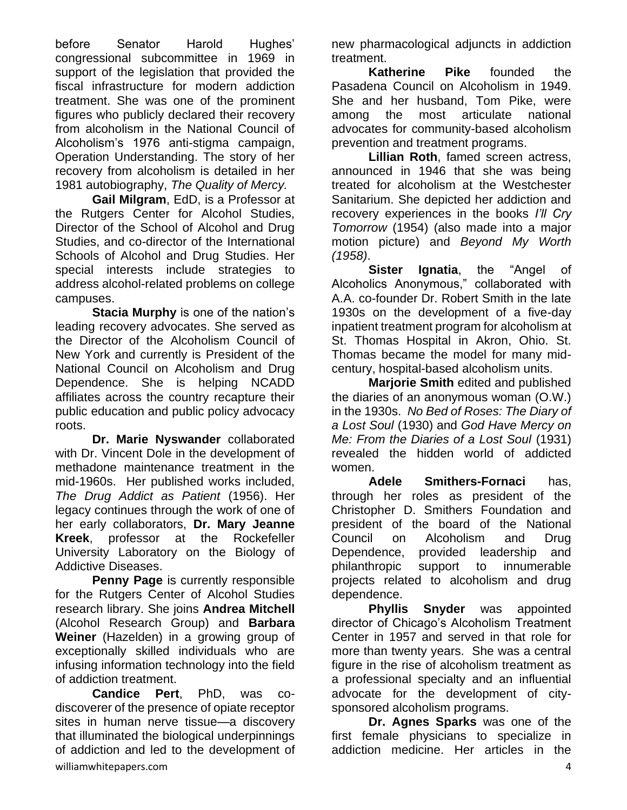before Senator Harold Hughes' congressional subcommittee in 1969 in support of the legislation that provided the fiscal infrastructure for modern addiction treatment. She was one of the prominent figures who publicly declared their recovery from alcoholism in the National Council of Alcoholism's 1976 anti-stigma campaign, Operation Understanding. The story of her recovery from alcoholism is detailed in her 1981 autobiography, *The Quality of Mercy.*

**Gail Milgram**, EdD, is a Professor at the Rutgers Center for Alcohol Studies, Director of the School of Alcohol and Drug Studies, and co-director of the International Schools of Alcohol and Drug Studies. Her special interests include strategies to address alcohol-related problems on college campuses.

**Stacia Murphy** is one of the nation's leading recovery advocates. She served as the Director of the Alcoholism Council of New York and currently is President of the National Council on Alcoholism and Drug Dependence. She is helping NCADD affiliates across the country recapture their public education and public policy advocacy roots.

**Dr. Marie Nyswander** collaborated with Dr. Vincent Dole in the development of methadone maintenance treatment in the mid-1960s. Her published works included, *The Drug Addict as Patient* (1956). Her legacy continues through the work of one of her early collaborators, **Dr. Mary Jeanne Kreek**, professor at the Rockefeller University Laboratory on the Biology of Addictive Diseases.

**Penny Page** is currently responsible for the Rutgers Center of Alcohol Studies research library. She joins **Andrea Mitchell** (Alcohol Research Group) and **Barbara Weiner** (Hazelden) in a growing group of exceptionally skilled individuals who are infusing information technology into the field of addiction treatment.

williamwhitepapers.com 4 **Candice Pert**, PhD, was codiscoverer of the presence of opiate receptor sites in human nerve tissue—a discovery that illuminated the biological underpinnings of addiction and led to the development of

new pharmacological adjuncts in addiction treatment.

**Katherine Pike** founded the Pasadena Council on Alcoholism in 1949. She and her husband, Tom Pike, were among the most articulate national advocates for community-based alcoholism prevention and treatment programs.

**Lillian Roth**, famed screen actress, announced in 1946 that she was being treated for alcoholism at the Westchester Sanitarium. She depicted her addiction and recovery experiences in the books *I'll Cry Tomorrow* (1954) (also made into a major motion picture) and *Beyond My Worth (1958)*.

**Sister Ignatia**, the "Angel of Alcoholics Anonymous," collaborated with A.A. co-founder Dr. Robert Smith in the late 1930s on the development of a five-day inpatient treatment program for alcoholism at St. Thomas Hospital in Akron, Ohio. St. Thomas became the model for many midcentury, hospital-based alcoholism units.

**Marjorie Smith** edited and published the diaries of an anonymous woman (O.W.) in the 1930s. *No Bed of Roses: The Diary of a Lost Soul* (1930) and *God Have Mercy on Me: From the Diaries of a Lost Soul* (1931) revealed the hidden world of addicted women.

**Adele Smithers-Fornaci** has, through her roles as president of the Christopher D. Smithers Foundation and president of the board of the National Council on Alcoholism and Drug Dependence, provided leadership and philanthropic support to innumerable projects related to alcoholism and drug dependence.

**Phyllis Snyder** was appointed director of Chicago's Alcoholism Treatment Center in 1957 and served in that role for more than twenty years. She was a central figure in the rise of alcoholism treatment as a professional specialty and an influential advocate for the development of citysponsored alcoholism programs.

**Dr. Agnes Sparks** was one of the first female physicians to specialize in addiction medicine. Her articles in the